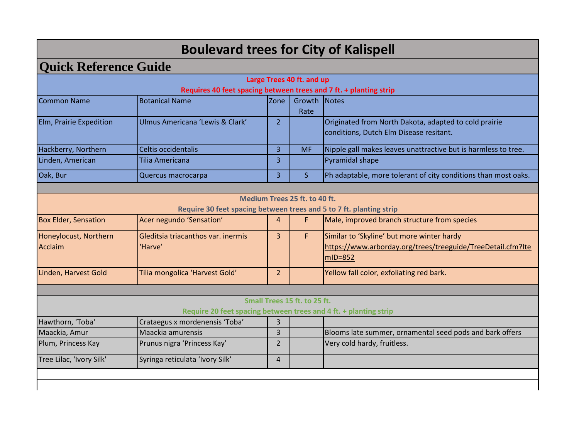## **Boulevard trees for City of Kalispell**

## **Quick Reference Guide**

|                                                                  | Requires 40 feet spacing between trees and 7 ft. + planting strip   |                | Large Trees 40 ft. and up     |                                                                |  |  |
|------------------------------------------------------------------|---------------------------------------------------------------------|----------------|-------------------------------|----------------------------------------------------------------|--|--|
| <b>Common Name</b>                                               | <b>Botanical Name</b>                                               | Zone           | Growth Notes                  |                                                                |  |  |
|                                                                  |                                                                     |                | Rate                          |                                                                |  |  |
| Elm, Prairie Expedition                                          | Ulmus Americana 'Lewis & Clark'                                     | 2 <sup>1</sup> |                               | Originated from North Dakota, adapted to cold prairie          |  |  |
|                                                                  |                                                                     |                |                               | conditions, Dutch Elm Disease resitant.                        |  |  |
| Hackberry, Northern                                              | Celtis occidentalis                                                 | 3              | <b>MF</b>                     | Nipple gall makes leaves unattractive but is harmless to tree. |  |  |
| Linden, American                                                 | Tilia Americana                                                     | 3              |                               | Pyramidal shape                                                |  |  |
| Oak, Bur                                                         | Quercus macrocarpa                                                  | 3              | S                             | Ph adaptable, more tolerant of city conditions than most oaks. |  |  |
|                                                                  |                                                                     |                |                               |                                                                |  |  |
|                                                                  |                                                                     |                | Medium Trees 25 ft. to 40 ft. |                                                                |  |  |
|                                                                  | Require 30 feet spacing between trees and 5 to 7 ft. planting strip |                |                               |                                                                |  |  |
| <b>Box Elder, Sensation</b>                                      | Acer negundo 'Sensation'                                            | 4              | F                             | Male, improved branch structure from species                   |  |  |
| Honeylocust, Northern                                            | Gleditsia triacanthos var. inermis                                  | $\overline{3}$ | F.                            | Similar to 'Skyline' but more winter hardy                     |  |  |
| Acclaim                                                          | 'Harve'                                                             |                |                               | https://www.arborday.org/trees/treeguide/TreeDetail.cfm?Ite    |  |  |
|                                                                  |                                                                     |                |                               | $mlD=852$                                                      |  |  |
| Linden, Harvest Gold                                             | Tilia mongolica 'Harvest Gold'                                      | $\overline{2}$ |                               | Yellow fall color, exfoliating red bark.                       |  |  |
|                                                                  |                                                                     |                |                               |                                                                |  |  |
|                                                                  |                                                                     |                | Small Trees 15 ft. to 25 ft.  |                                                                |  |  |
| Require 20 feet spacing between trees and 4 ft. + planting strip |                                                                     |                |                               |                                                                |  |  |
| Hawthorn, 'Toba'                                                 | Crataegus x mordenensis 'Toba'                                      | 3              |                               |                                                                |  |  |
| Maackia, Amur                                                    | Maackia amurensis                                                   | 3              |                               | Blooms late summer, ornamental seed pods and bark offers       |  |  |
| Plum, Princess Kay                                               | Prunus nigra 'Princess Kay'                                         | $\overline{2}$ |                               | Very cold hardy, fruitless.                                    |  |  |
| Tree Lilac, 'Ivory Silk'                                         | Syringa reticulata 'Ivory Silk'                                     | 4              |                               |                                                                |  |  |
|                                                                  |                                                                     |                |                               |                                                                |  |  |
|                                                                  |                                                                     |                |                               |                                                                |  |  |
|                                                                  |                                                                     |                |                               |                                                                |  |  |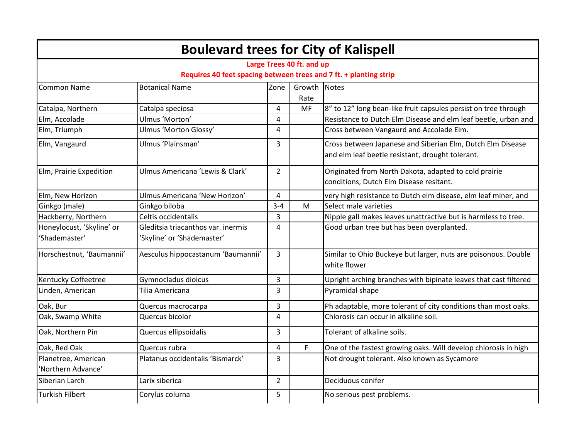| <b>Boulevard trees for City of Kalispell</b>                                                   |                                                                  |                |           |                                                                                                                |  |
|------------------------------------------------------------------------------------------------|------------------------------------------------------------------|----------------|-----------|----------------------------------------------------------------------------------------------------------------|--|
| Large Trees 40 ft. and up<br>Requires 40 feet spacing between trees and 7 ft. + planting strip |                                                                  |                |           |                                                                                                                |  |
|                                                                                                |                                                                  |                |           |                                                                                                                |  |
| Catalpa, Northern                                                                              | Catalpa speciosa                                                 | $\overline{4}$ | <b>MF</b> | 8" to 12" long bean-like fruit capsules persist on tree through                                                |  |
| Elm, Accolade                                                                                  | Ulmus 'Morton'                                                   | 4              |           | Resistance to Dutch Elm Disease and elm leaf beetle, urban and                                                 |  |
| Elm, Triumph                                                                                   | Ulmus 'Morton Glossy'                                            | 4              |           | Cross between Vangaurd and Accolade Elm.                                                                       |  |
| Elm, Vangaurd                                                                                  | Ulmus 'Plainsman'                                                | $\overline{3}$ |           | Cross between Japanese and Siberian Elm, Dutch Elm Disease<br>and elm leaf beetle resistant, drought tolerant. |  |
| Elm, Prairie Expedition                                                                        | Ulmus Americana 'Lewis & Clark'                                  | $\overline{2}$ |           | Originated from North Dakota, adapted to cold prairie<br>conditions, Dutch Elm Disease resitant.               |  |
| Elm, New Horizon                                                                               | Ulmus Americana 'New Horizon'                                    | 4              |           | very high resistance to Dutch elm disease, elm leaf miner, and                                                 |  |
| Ginkgo (male)                                                                                  | Ginkgo biloba                                                    | $3 - 4$        | M         | Select male varieties                                                                                          |  |
| Hackberry, Northern                                                                            | Celtis occidentalis                                              | 3              |           | Nipple gall makes leaves unattractive but is harmless to tree.                                                 |  |
| Honeylocust, 'Skyline' or<br>'Shademaster'                                                     | Gleditsia triacanthos var. inermis<br>'Skyline' or 'Shademaster' | 4              |           | Good urban tree but has been overplanted.                                                                      |  |
| Horschestnut, 'Baumannii'                                                                      | Aesculus hippocastanum 'Baumannii'                               | 3              |           | Similar to Ohio Buckeye but larger, nuts are poisonous. Double<br>white flower                                 |  |
| Kentucky Coffeetree                                                                            | Gymnocladus dioicus                                              | 3              |           | Upright arching branches with bipinate leaves that cast filtered                                               |  |
| Linden, American                                                                               | Tilia Americana                                                  | 3              |           | Pyramidal shape                                                                                                |  |
| Oak, Bur                                                                                       | Quercus macrocarpa                                               | 3              |           | Ph adaptable, more tolerant of city conditions than most oaks.                                                 |  |
| Oak, Swamp White                                                                               | Quercus bicolor                                                  | 4              |           | Chlorosis can occur in alkaline soil.                                                                          |  |
| Oak, Northern Pin                                                                              | Quercus ellipsoidalis                                            | 3              |           | Tolerant of alkaline soils.                                                                                    |  |
| Oak, Red Oak                                                                                   | Quercus rubra                                                    | 4              | F         | One of the fastest growing oaks. Will develop chlorosis in high                                                |  |
| Planetree, American<br>'Northern Advance'                                                      | Platanus occidentalis 'Bismarck'                                 | 3              |           | Not drought tolerant. Also known as Sycamore                                                                   |  |
| Siberian Larch                                                                                 | Larix siberica                                                   | $\overline{2}$ |           | Deciduous conifer                                                                                              |  |
| <b>Turkish Filbert</b>                                                                         | Corylus colurna                                                  | 5              |           | No serious pest problems.                                                                                      |  |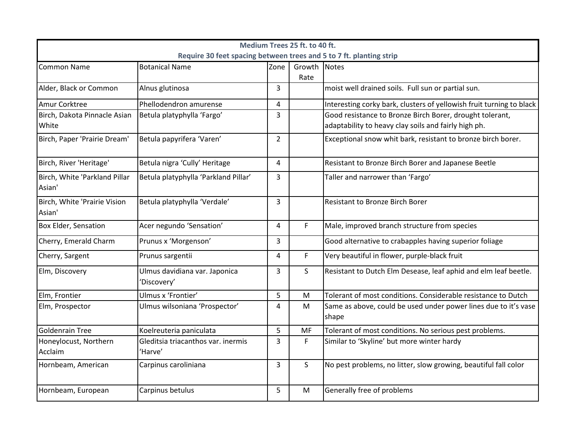|                                         | Require 30 feet spacing between trees and 5 to 7 ft. planting strip |                | Medium Trees 25 ft. to 40 ft. |                                                                                                                  |
|-----------------------------------------|---------------------------------------------------------------------|----------------|-------------------------------|------------------------------------------------------------------------------------------------------------------|
| <b>Common Name</b>                      | <b>Botanical Name</b>                                               | Zone           | Growth Notes<br>Rate          |                                                                                                                  |
| Alder, Black or Common                  | Alnus glutinosa                                                     | 3              |                               | moist well drained soils. Full sun or partial sun.                                                               |
| Amur Corktree                           | Phellodendron amurense                                              | 4              |                               | Interesting corky bark, clusters of yellowish fruit turning to black                                             |
| Birch, Dakota Pinnacle Asian<br>White   | Betula platyphylla 'Fargo'                                          | 3              |                               | Good resistance to Bronze Birch Borer, drought tolerant,<br>adaptability to heavy clay soils and fairly high ph. |
| Birch, Paper 'Prairie Dream'            | Betula papyrifera 'Varen'                                           | $\overline{2}$ |                               | Exceptional snow whit bark, resistant to bronze birch borer.                                                     |
| Birch, River 'Heritage'                 | Betula nigra 'Cully' Heritage                                       | $\overline{4}$ |                               | Resistant to Bronze Birch Borer and Japanese Beetle                                                              |
| Birch, White 'Parkland Pillar<br>Asian' | Betula platyphylla 'Parkland Pillar'                                | 3              |                               | Taller and narrower than 'Fargo'                                                                                 |
| Birch, White 'Prairie Vision<br>Asian'  | Betula platyphylla 'Verdale'                                        | 3              |                               | <b>Resistant to Bronze Birch Borer</b>                                                                           |
| Box Elder, Sensation                    | Acer negundo 'Sensation'                                            | $\overline{4}$ | $\mathsf F$                   | Male, improved branch structure from species                                                                     |
| Cherry, Emerald Charm                   | Prunus x 'Morgenson'                                                | 3              |                               | Good alternative to crabapples having superior foliage                                                           |
| Cherry, Sargent                         | Prunus sargentii                                                    | 4              | F.                            | Very beautiful in flower, purple-black fruit                                                                     |
| Elm, Discovery                          | Ulmus davidiana var. Japonica<br>'Discovery'                        | 3              | $\mathsf{S}$                  | Resistant to Dutch Elm Desease, leaf aphid and elm leaf beetle.                                                  |
| Elm, Frontier                           | Ulmus x 'Frontier'                                                  | 5              | M                             | Tolerant of most conditions. Considerable resistance to Dutch                                                    |
| Elm, Prospector                         | Ulmus wilsoniana 'Prospector'                                       | 4              | M                             | Same as above, could be used under power lines due to it's vase<br>shape                                         |
| <b>Goldenrain Tree</b>                  | Koelreuteria paniculata                                             | 5              | MF                            | Tolerant of most conditions. No serious pest problems.                                                           |
| Honeylocust, Northern<br>Acclaim        | Gleditsia triacanthos var. inermis<br>'Harve'                       | 3              | $\mathsf F$                   | Similar to 'Skyline' but more winter hardy                                                                       |
| Hornbeam, American                      | Carpinus caroliniana                                                | 3              | S                             | No pest problems, no litter, slow growing, beautiful fall color                                                  |
| Hornbeam, European                      | Carpinus betulus                                                    | 5              | M                             | Generally free of problems                                                                                       |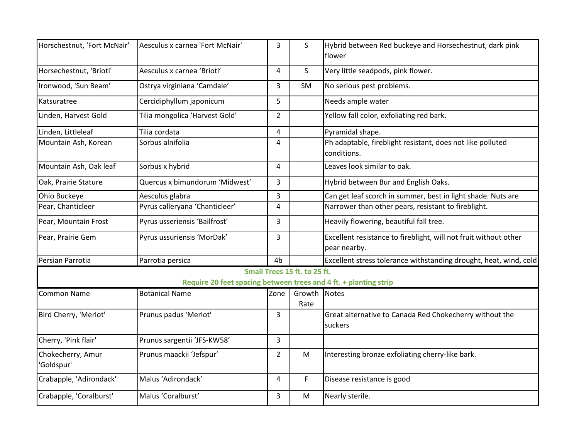| Horschestnut, 'Fort McNair'                                                                      | Aesculus x carnea 'Fort McNair' | 3              | S.             | Hybrid between Red buckeye and Horsechestnut, dark pink<br>flower                |  |  |
|--------------------------------------------------------------------------------------------------|---------------------------------|----------------|----------------|----------------------------------------------------------------------------------|--|--|
| Horsechestnut, 'Brioti'                                                                          | Aesculus x carnea 'Brioti'      | 4              | S.             | Very little seadpods, pink flower.                                               |  |  |
| Ironwood, 'Sun Beam'                                                                             | Ostrya virginiana 'Camdale'     | 3              | SM             | No serious pest problems.                                                        |  |  |
| Katsuratree                                                                                      | Cercidiphyllum japonicum        | 5              |                | Needs ample water                                                                |  |  |
| Linden, Harvest Gold                                                                             | Tilia mongolica 'Harvest Gold'  | $\overline{2}$ |                | Yellow fall color, exfoliating red bark.                                         |  |  |
| Linden, Littleleaf                                                                               | Tilia cordata                   | 4              |                | Pyramidal shape.                                                                 |  |  |
| Mountain Ash, Korean                                                                             | Sorbus alnifolia                | 4              |                | Ph adaptable, fireblight resistant, does not like polluted<br>conditions.        |  |  |
| Mountain Ash, Oak leaf                                                                           | Sorbus x hybrid                 | 4              |                | Leaves look similar to oak.                                                      |  |  |
| Oak, Prairie Stature                                                                             | Quercus x bimundorum 'Midwest'  | 3              |                | Hybrid between Bur and English Oaks.                                             |  |  |
| Ohio Buckeye                                                                                     | Aesculus glabra                 | 3              |                | Can get leaf scorch in summer, best in light shade. Nuts are                     |  |  |
| Pear, Chanticleer                                                                                | Pyrus calleryana 'Chanticleer'  | 4              |                | Narrower than other pears, resistant to fireblight.                              |  |  |
| Pear, Mountain Frost                                                                             | Pyrus usseriensis 'Bailfrost'   | 3              |                | Heavily flowering, beautiful fall tree.                                          |  |  |
| Pear, Prairie Gem                                                                                | Pyrus ussuriensis 'MorDak'      | 3              |                | Excellent resistance to fireblight, will not fruit without other<br>pear nearby. |  |  |
| Persian Parrotia                                                                                 | Parrotia persica                | 4b             |                | Excellent stress tolerance withstanding drought, heat, wind, cold                |  |  |
| Small Trees 15 ft. to 25 ft.<br>Require 20 feet spacing between trees and 4 ft. + planting strip |                                 |                |                |                                                                                  |  |  |
| <b>Common Name</b>                                                                               | <b>Botanical Name</b>           | Zone           | Growth<br>Rate | Notes                                                                            |  |  |
| Bird Cherry, 'Merlot'                                                                            | Prunus padus 'Merlot'           | 3              |                | Great alternative to Canada Red Chokecherry without the<br>suckers               |  |  |
| Cherry, 'Pink flair'                                                                             | Prunus sargentii 'JFS-KW58'     | 3              |                |                                                                                  |  |  |
| Chokecherry, Amur<br>'Goldspur'                                                                  | Prunus maackii 'Jefspur'        | $\overline{2}$ | M              | Interesting bronze exfoliating cherry-like bark.                                 |  |  |
| Crabapple, 'Adirondack'                                                                          | Malus 'Adirondack'              | 4              | F.             | Disease resistance is good                                                       |  |  |
| Crabapple, 'Coralburst'                                                                          | Malus 'Coralburst'              | 3              | M              | Nearly sterile.                                                                  |  |  |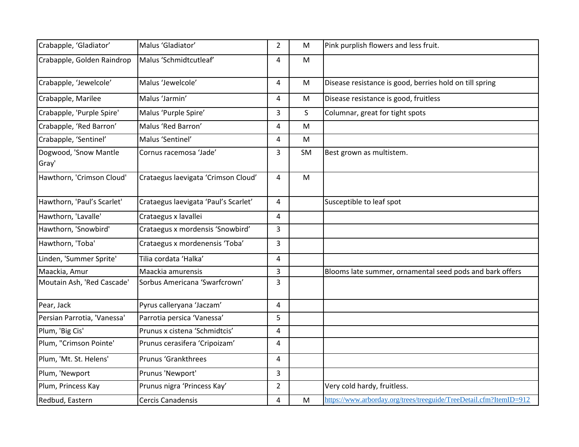| Crabapple, 'Gladiator'         | Malus 'Gladiator'                    | $\overline{2}$ | M            | Pink purplish flowers and less fruit.                              |
|--------------------------------|--------------------------------------|----------------|--------------|--------------------------------------------------------------------|
| Crabapple, Golden Raindrop     | Malus 'Schmidtcutleaf'               | $\overline{4}$ | M            |                                                                    |
| Crabapple, 'Jewelcole'         | Malus 'Jewelcole'                    | $\overline{4}$ | M            | Disease resistance is good, berries hold on till spring            |
| Crabapple, Marilee             | Malus 'Jarmin'                       | 4              | M            | Disease resistance is good, fruitless                              |
| Crabapple, 'Purple Spire'      | Malus 'Purple Spire'                 | 3              | $\mathsf{S}$ | Columnar, great for tight spots                                    |
| Crabapple, 'Red Barron'        | Malus 'Red Barron'                   | $\overline{4}$ | M            |                                                                    |
| Crabapple, 'Sentinel'          | Malus 'Sentinel'                     | 4              | M            |                                                                    |
| Dogwood, 'Snow Mantle<br>Gray' | Cornus racemosa 'Jade'               | 3              | SM           | Best grown as multistem.                                           |
| Hawthorn, 'Crimson Cloud'      | Crataegus laevigata 'Crimson Cloud'  | 4              | M            |                                                                    |
| Hawthorn, 'Paul's Scarlet'     | Crataegus laevigata 'Paul's Scarlet' | 4              |              | Susceptible to leaf spot                                           |
| Hawthorn, 'Lavalle'            | Crataegus x lavallei                 | 4              |              |                                                                    |
| Hawthorn, 'Snowbird'           | Crataegus x mordensis 'Snowbird'     | $\overline{3}$ |              |                                                                    |
| Hawthorn, 'Toba'               | Crataegus x mordenensis 'Toba'       | $\overline{3}$ |              |                                                                    |
| Linden, 'Summer Sprite'        | Tilia cordata 'Halka'                | 4              |              |                                                                    |
| Maackia, Amur                  | Maackia amurensis                    | 3              |              | Blooms late summer, ornamental seed pods and bark offers           |
| Moutain Ash, 'Red Cascade'     | Sorbus Americana 'Swarfcrown'        | $\overline{3}$ |              |                                                                    |
| Pear, Jack                     | Pyrus calleryana 'Jaczam'            | 4              |              |                                                                    |
| Persian Parrotia, 'Vanessa'    | Parrotia persica 'Vanessa'           | 5              |              |                                                                    |
| Plum, 'Big Cis'                | Prunus x cistena 'Schmidtcis'        | 4              |              |                                                                    |
| Plum, "Crimson Pointe'         | Prunus cerasifera 'Cripoizam'        | 4              |              |                                                                    |
| Plum, 'Mt. St. Helens'         | Prunus 'Grankthrees                  | 4              |              |                                                                    |
| Plum, 'Newport                 | Prunus 'Newport'                     | 3              |              |                                                                    |
| Plum, Princess Kay             | Prunus nigra 'Princess Kay'          | $\overline{2}$ |              | Very cold hardy, fruitless.                                        |
| Redbud, Eastern                | <b>Cercis Canadensis</b>             | 4              | M            | https://www.arborday.org/trees/treeguide/TreeDetail.cfm?ItemID=912 |